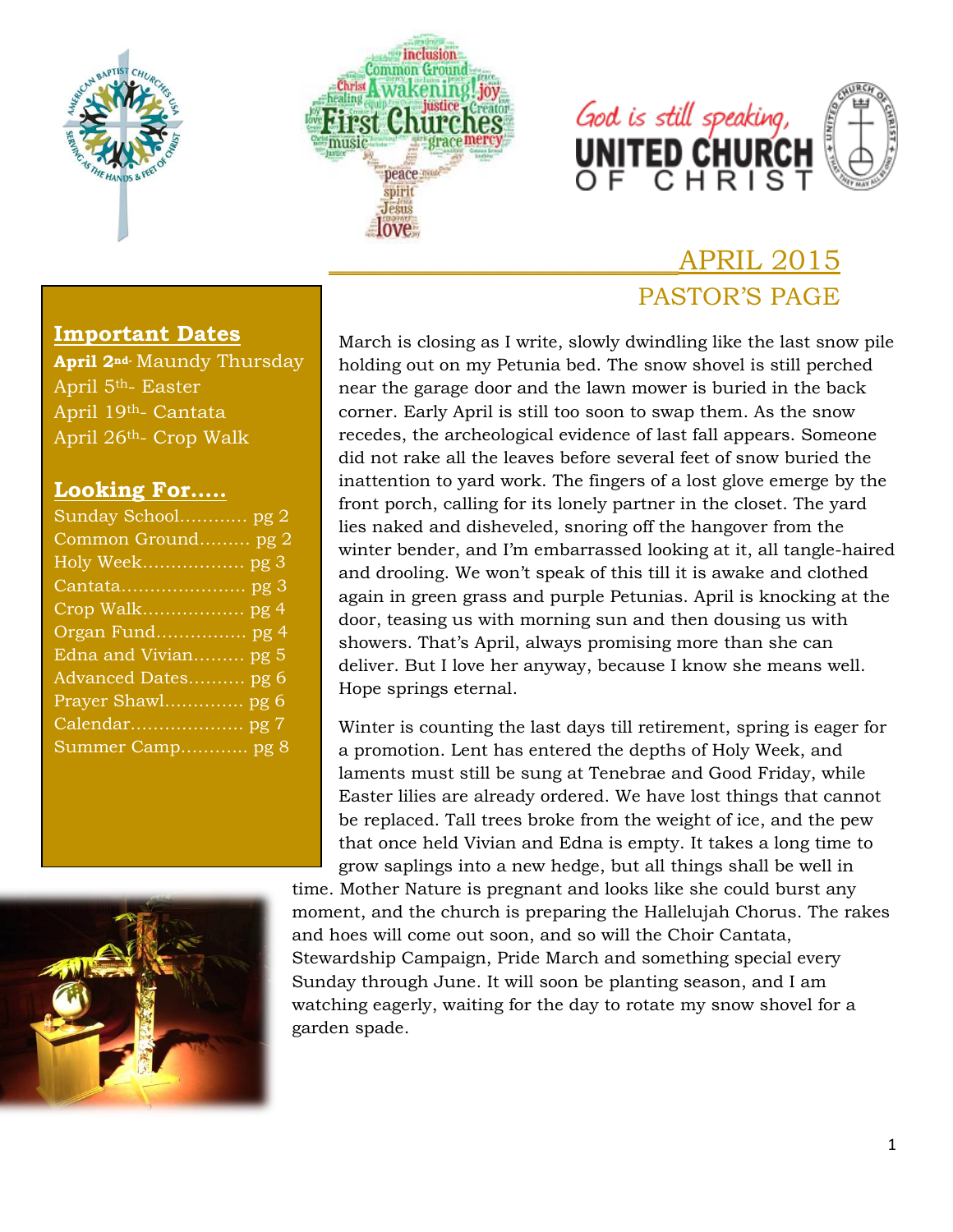





# \_\_\_\_\_\_\_\_\_\_\_\_\_\_\_\_\_\_\_\_\_\_\_\_\_APRIL 2015 PASTOR'S PAGE

#### **Important Dates**

**April 2nd-** Maundy Thursday April 5th- Easter April 19th- Cantata April 26th- Crop Walk

#### **Looking For…..**

| Sunday School pg 2   |
|----------------------|
| Common Ground pg 2   |
|                      |
|                      |
|                      |
|                      |
| Edna and Vivian pg 5 |
| Advanced Dates pg 6  |
| Prayer Shawl pg 6    |
|                      |
| Summer Camp pg 8     |
|                      |
|                      |



March is closing as I write, slowly dwindling like the last snow pile holding out on my Petunia bed. The snow shovel is still perched near the garage door and the lawn mower is buried in the back corner. Early April is still too soon to swap them. As the snow recedes, the archeological evidence of last fall appears. Someone did not rake all the leaves before several feet of snow buried the inattention to yard work. The fingers of a lost glove emerge by the front porch, calling for its lonely partner in the closet. The yard lies naked and disheveled, snoring off the hangover from the winter bender, and I'm embarrassed looking at it, all tangle-haired and drooling. We won't speak of this till it is awake and clothed again in green grass and purple Petunias. April is knocking at the door, teasing us with morning sun and then dousing us with showers. That's April, always promising more than she can deliver. But I love her anyway, because I know she means well. Hope springs eternal.

Winter is counting the last days till retirement, spring is eager for a promotion. Lent has entered the depths of Holy Week, and laments must still be sung at Tenebrae and Good Friday, while Easter lilies are already ordered. We have lost things that cannot be replaced. Tall trees broke from the weight of ice, and the pew that once held Vivian and Edna is empty. It takes a long time to grow saplings into a new hedge, but all things shall be well in

time. Mother Nature is pregnant and looks like she could burst any moment, and the church is preparing the Hallelujah Chorus. The rakes and hoes will come out soon, and so will the Choir Cantata, Stewardship Campaign, Pride March and something special every Sunday through June. It will soon be planting season, and I am watching eagerly, waiting for the day to rotate my snow shovel for a garden spade.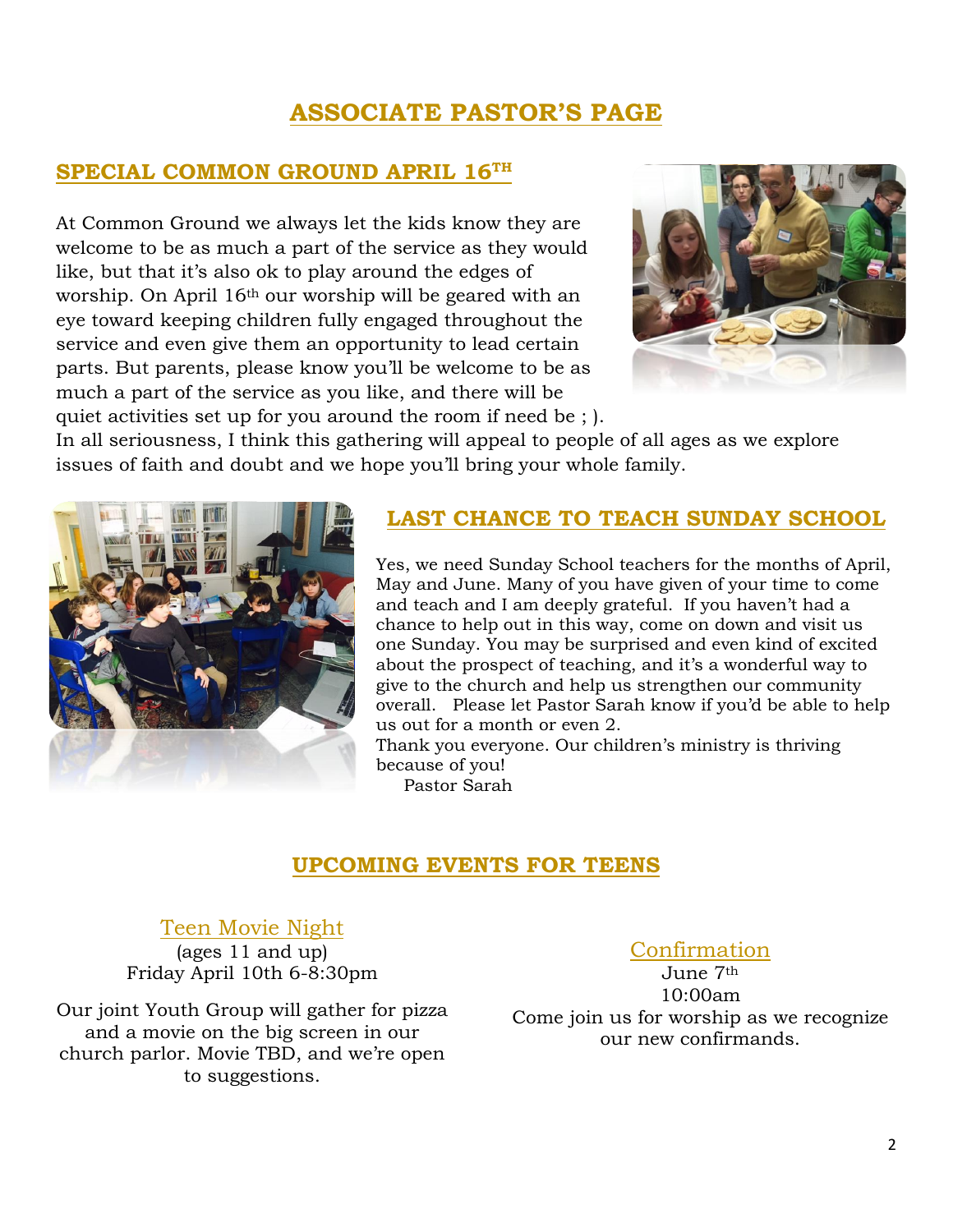# **ASSOCIATE PASTOR'S PAGE**

## **SPECIAL COMMON GROUND APRIL 16TH**

At Common Ground we always let the kids know they are welcome to be as much a part of the service as they would like, but that it's also ok to play around the edges of worship. On April 16th our worship will be geared with an eye toward keeping children fully engaged throughout the service and even give them an opportunity to lead certain parts. But parents, please know you'll be welcome to be as much a part of the service as you like, and there will be quiet activities set up for you around the room if need be ; ).



In all seriousness, I think this gathering will appeal to people of all ages as we explore issues of faith and doubt and we hope you'll bring your whole family.



## **LAST CHANCE TO TEACH SUNDAY SCHOOL**

Yes, we need Sunday School teachers for the months of April, May and June. Many of you have given of your time to come and teach and I am deeply grateful. If you haven't had a chance to help out in this way, come on down and visit us one Sunday. You may be surprised and even kind of excited about the prospect of teaching, and it's a wonderful way to give to the church and help us strengthen our community overall. Please let Pastor Sarah know if you'd be able to help us out for a month or even 2.

Thank you everyone. Our children's ministry is thriving because of you!

Pastor Sarah

#### **UPCOMING EVENTS FOR TEENS**

#### Teen Movie Night

(ages 11 and up) Friday April 10th 6-8:30pm

Our joint Youth Group will gather for pizza and a movie on the big screen in our church parlor. Movie TBD, and we're open to suggestions.

## **Confirmation**

June 7th 10:00am Come join us for worship as we recognize our new confirmands.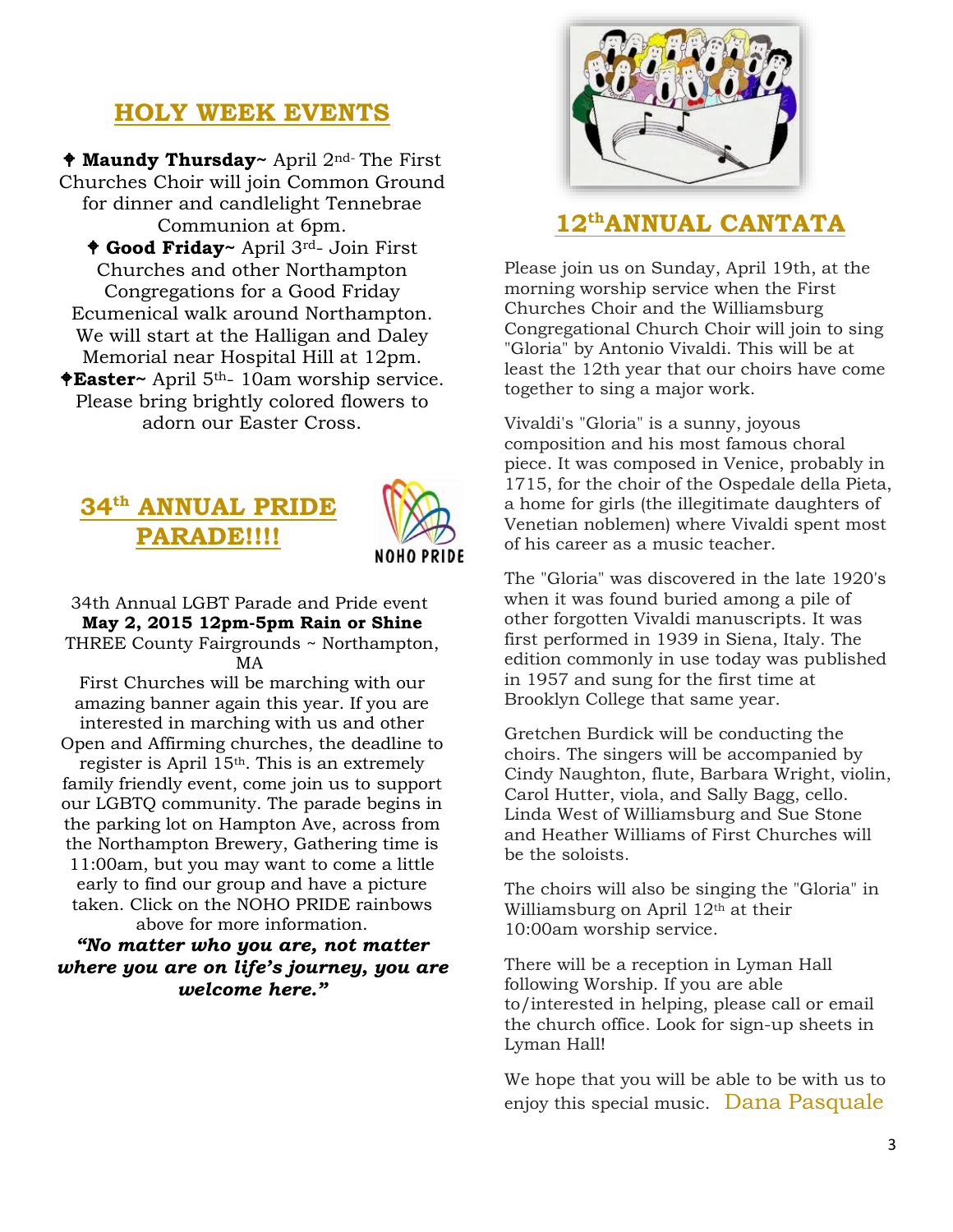## **HOLY WEEK EVENTS**

 **Maundy Thursday~** April 2nd- The First Churches Choir will join Common Ground for dinner and candlelight Tennebrae Communion at 6pm. **Good Friday~** April 3rd- Join First Churches and other Northampton Congregations for a Good Friday Ecumenical walk around Northampton. We will start at the Halligan and Daley Memorial near Hospital Hill at 12pm. **Easter~** April 5th- 10am worship service. Please bring brightly colored flowers to adorn our Easter Cross.

# **34th ANNUAL PRIDE PARADE!!!!**



#### 34th Annual LGBT Parade and Pride event **May 2, 2015 12pm-5pm Rain or Shine** THREE County Fairgrounds ~ Northampton, MA

First Churches will be marching with our amazing banner again this year. If you are interested in marching with us and other Open and Affirming churches, the deadline to register is April 15th. This is an extremely family friendly event, come join us to support our LGBTQ community. The parade begins in the parking lot on Hampton Ave, across from the Northampton Brewery, Gathering time is 11:00am, but you may want to come a little early to find our group and have a picture taken. Click on the NOHO PRIDE rainbows above for more information.

#### *"No matter who you are, not matter where you are on life's journey, you are welcome here."*



### **12thANNUAL CANTATA**

Please join us on Sunday, April 19th, at the morning worship service when the First Churches Choir and the Williamsburg Congregational Church Choir will join to sing "Gloria" by Antonio Vivaldi. This will be at least the 12th year that our choirs have come together to sing a major work.

Vivaldi's "Gloria" is a sunny, joyous composition and his most famous choral piece. It was composed in Venice, probably in 1715, for the choir of the Ospedale della Pieta, a home for girls (the illegitimate daughters of Venetian noblemen) where Vivaldi spent most of his career as a music teacher.

The "Gloria" was discovered in the late 1920's when it was found buried among a pile of other forgotten Vivaldi manuscripts. It was first performed in 1939 in Siena, Italy. The edition commonly in use today was published in 1957 and sung for the first time at Brooklyn College that same year.

Gretchen Burdick will be conducting the choirs. The singers will be accompanied by Cindy Naughton, flute, Barbara Wright, violin, Carol Hutter, viola, and Sally Bagg, cello. Linda West of Williamsburg and Sue Stone and Heather Williams of First Churches will be the soloists.

The choirs will also be singing the "Gloria" in Williamsburg on April 12<sup>th</sup> at their 10:00am worship service.

There will be a reception in Lyman Hall following Worship. If you are able to/interested in helping, please call or email the church office. Look for sign-up sheets in Lyman Hall!

We hope that you will be able to be with us to enjoy this special music. Dana Pasquale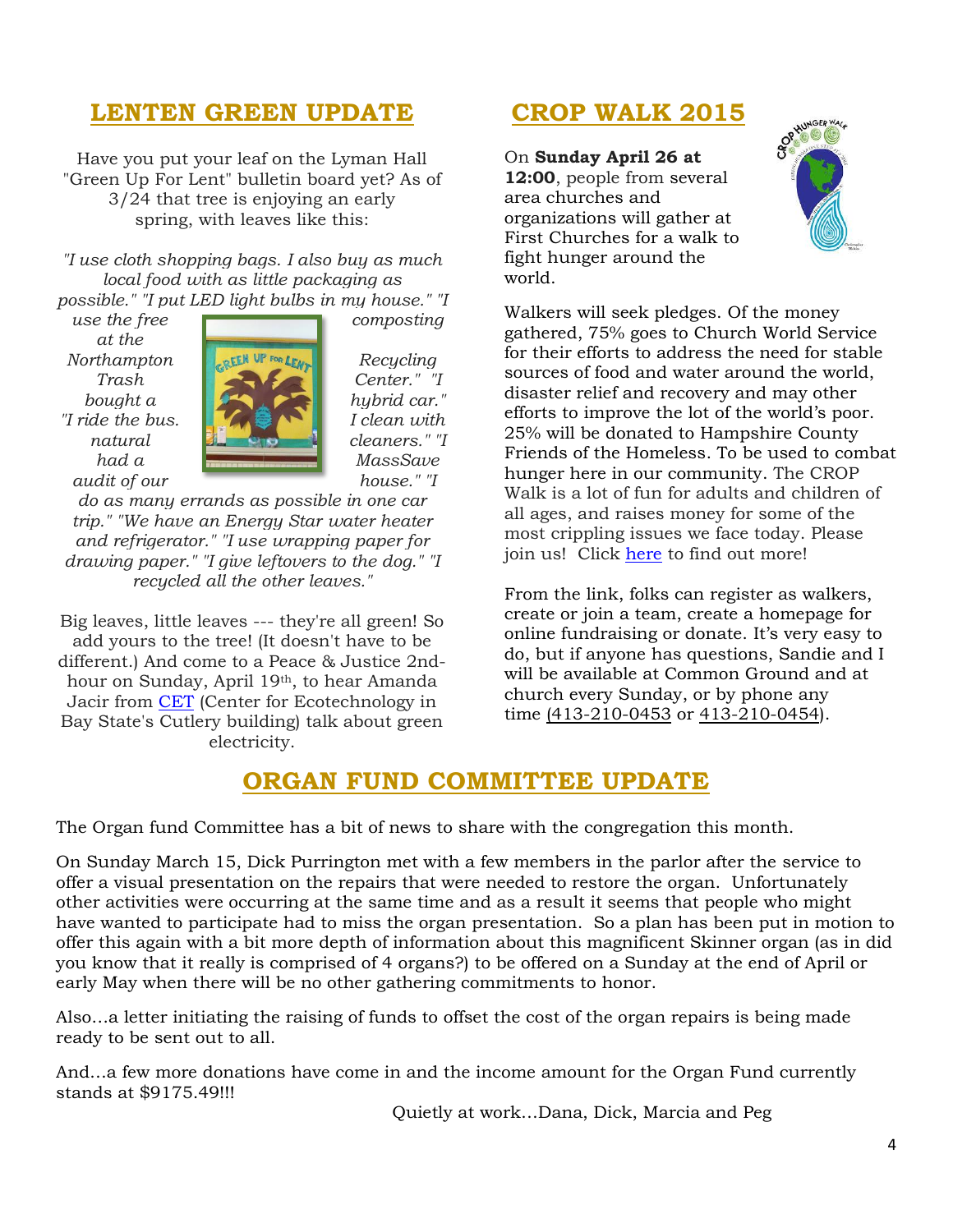# **LENTEN GREEN UPDATE**

Have you put your leaf on the Lyman Hall "Green Up For Lent" bulletin board yet? As of 3/24 that tree is enjoying an early spring, with leaves like this:

*"I use cloth shopping bags. I also buy as much local food with as little packaging as* 

*possible." "I put LED light bulbs in my house." "I use the free* composting

*at the* 



*do as many errands as possible in one car trip." "We have an Energy Star water heater and refrigerator." "I use wrapping paper for drawing paper." "I give leftovers to the dog." "I recycled all the other leaves."*

Big leaves, little leaves --- they're all green! So add yours to the tree! (It doesn't have to be different.) And come to a Peace & Justice 2ndhour on Sunday, April 19th, to hear Amanda Jacir from [CET](http://www.cetonline.org/) (Center for Ecotechnology in Bay State's Cutlery building) talk about green electricity.

# **CROP WALK 2015**

On **Sunday April 26 at 12:00**, people from several area churches and

organizations will gather at First Churches for a walk to fight hunger around the world.



Walkers will seek pledges. Of the money gathered, 75% goes to Church World Service for their efforts to address the need for stable sources of food and water around the world, disaster relief and recovery and may other efforts to improve the lot of the world's poor. 25% will be donated to Hampshire County Friends of the Homeless. To be used to combat hunger here in our community. The CROP Walk is a lot of fun for adults and children of all ages, and raises money for some of the most crippling issues we face today. Please join us! Click [here](http://www.crophungerwalk.org/northamptonma) to find out more!

From the link, folks can register as walkers, create or join a team, create a homepage for online fundraising or donate. It's very easy to do, but if anyone has questions, Sandie and I will be available at Common Ground and at church every Sunday, or by phone any time [\(413-210-0453](tel:%28413-210-0453) or [413-210-0454\)](tel:413-210-0454).

## **ORGAN FUND COMMITTEE UPDATE**

The Organ fund Committee has a bit of news to share with the congregation this month.

On Sunday March 15, Dick Purrington met with a few members in the parlor after the service to offer a visual presentation on the repairs that were needed to restore the organ. Unfortunately other activities were occurring at the same time and as a result it seems that people who might have wanted to participate had to miss the organ presentation. So a plan has been put in motion to offer this again with a bit more depth of information about this magnificent Skinner organ (as in did you know that it really is comprised of 4 organs?) to be offered on a Sunday at the end of April or early May when there will be no other gathering commitments to honor.

Also…a letter initiating the raising of funds to offset the cost of the organ repairs is being made ready to be sent out to all.

And…a few more donations have come in and the income amount for the Organ Fund currently stands at \$9175.49!!!

Quietly at work…Dana, Dick, Marcia and Peg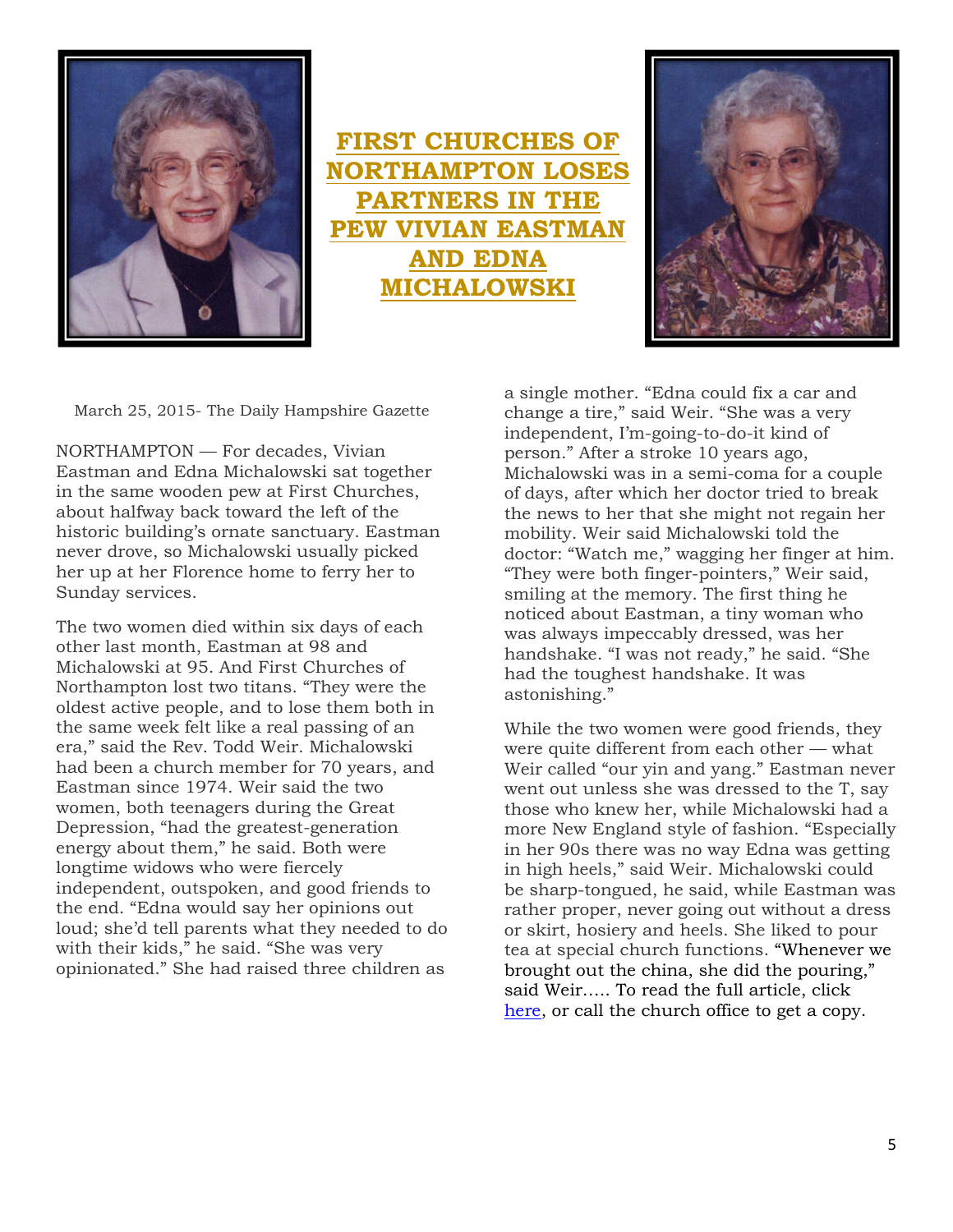

**FIRST CHURCHES OF HAMPTON LOSES PRS IN THE AN EASTMAN AND EDNA MICHALOWSKI**



March 25, 2015- The Daily Hampshire Gazette

NORTHAMPTON — For decades, Vivian Eastman and Edna Michalowski sat together in the same wooden pew at First Churches, about halfway back toward the left of the historic building's ornate sanctuary. Eastman never drove, so Michalowski usually picked her up at her Florence home to ferry her to Sunday services.

The two women died within six days of each other last month, Eastman at 98 and Michalowski at 95. And First Churches of Northampton lost two titans. "They were the oldest active people, and to lose them both in the same week felt like a real passing of an era," said the Rev. Todd Weir. Michalowski had been a church member for 70 years, and Eastman since 1974. Weir said the two women, both teenagers during the Great Depression, "had the greatest-generation energy about them," he said. Both were longtime widows who were fiercely independent, outspoken, and good friends to the end. "Edna would say her opinions out loud; she'd tell parents what they needed to do with their kids," he said. "She was very opinionated." She had raised three children as

a single mother. "Edna could fix a car and change a tire," said Weir. "She was a very independent, I'm-going-to-do-it kind of person." After a stroke 10 years ago, Michalowski was in a semi-coma for a couple of days, after which her doctor tried to break the news to her that she might not regain her mobility. Weir said Michalowski told the doctor: "Watch me," wagging her finger at him. "They were both finger-pointers," Weir said, smiling at the memory. The first thing he noticed about Eastman, a tiny woman who was always impeccably dressed, was her handshake. "I was not ready," he said. "She had the toughest handshake. It was astonishing."

While the two women were good friends, they were quite different from each other — what Weir called "our yin and yang." Eastman never went out unless she was dressed to the T, say those who knew her, while Michalowski had a more New England style of fashion. "Especially in her 90s there was no way Edna was getting in high heels," said Weir. Michalowski could be sharp-tongued, he said, while Eastman was rather proper, never going out without a dress or skirt, hosiery and heels. She liked to pour tea at special church functions. "Whenever we brought out the china, she did the pouring," said Weir….. To read the full article, click [here,](http://firstchurches.org/the-daily-hampshire-gazette-honors-vivian-and-edna/) or call the church office to get a copy.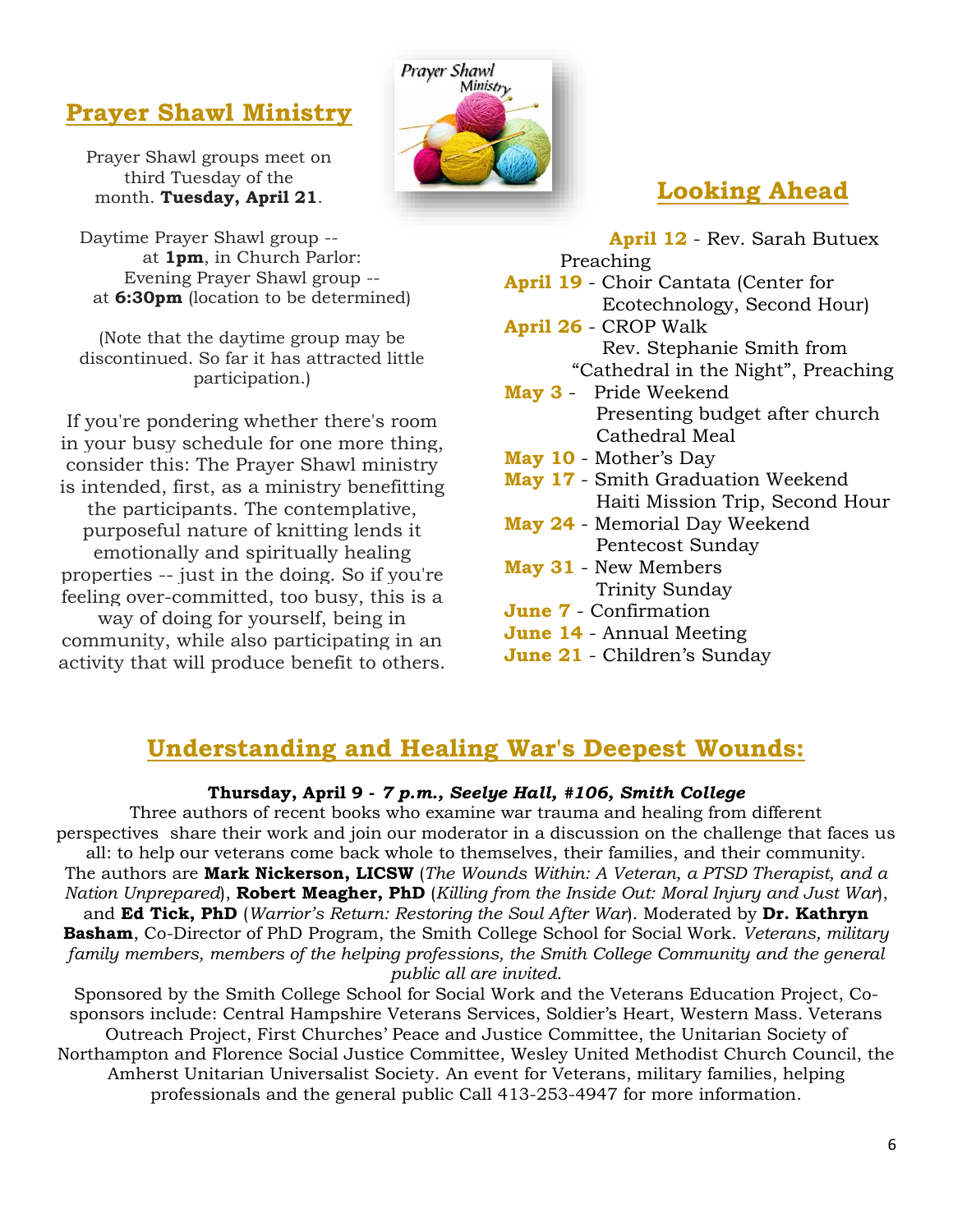# **Prayer Shawl Ministry**

Prayer Shawl groups meet on third Tuesday of the month. **Tuesday, April 21**.

Daytime Prayer Shawl group - at **1pm**, in Church Parlor: Evening Prayer Shawl group - at **6:30pm** (location to be determined)

(Note that the daytime group may be discontinued. So far it has attracted little participation.)

If you're pondering whether there's room in your busy schedule for one more thing, consider this: The Prayer Shawl ministry is intended, first, as a ministry benefitting the participants. The contemplative, purposeful nature of knitting lends it emotionally and spiritually healing properties -- just in the doing. So if you're feeling over-committed, too busy, this is a way of doing for yourself, being in community, while also participating in an activity that will produce benefit to others.



# **Looking Ahead**

**April 12** - Rev. Sarah Butuex Preaching **April 19** - Choir Cantata (Center for Ecotechnology, Second Hour) **April 26** - CROP Walk Rev. Stephanie Smith from "Cathedral in the Night", Preaching **May 3** - Pride Weekend Presenting budget after church Cathedral Meal **May 10** - Mother's Day **May 17** - Smith Graduation Weekend Haiti Mission Trip, Second Hour

- **May 24** Memorial Day Weekend Pentecost Sunday
- **May 31** New Members Trinity Sunday
- **June 7** Confirmation
- **June 14** Annual Meeting
- **June 21** Children's Sunday

# **Understanding and Healing War's Deepest Wounds:**

#### **Thursday, April 9 -** *7 p.m., Seelye Hall, #106, Smith College*

Three authors of recent books who examine war trauma and healing from different perspectives share their work and join our moderator in a discussion on the challenge that faces us all: to help our veterans come back whole to themselves, their families, and their community. The authors are **Mark Nickerson, LICSW** (*The Wounds Within: A Veteran, a PTSD Therapist, and a Nation Unprepared*), **Robert Meagher, PhD** (*Killing from the Inside Out: Moral Injury and Just War*), and **Ed Tick, PhD** (*Warrior's Return: Restoring the Soul After War*). Moderated by **Dr. Kathryn Basham**, Co-Director of PhD Program, the Smith College School for Social Work. *Veterans, military family members, members of the helping professions, the Smith College Community and the general public all are invited.*

Sponsored by the Smith College School for Social Work and the Veterans Education Project, Cosponsors include: Central Hampshire Veterans Services, Soldier's Heart, Western Mass. Veterans Outreach Project, First Churches' Peace and Justice Committee, the Unitarian Society of Northampton and Florence Social Justice Committee, Wesley United Methodist Church Council, the Amherst Unitarian Universalist Society. An event for Veterans, military families, helping professionals and the general public Call 413-253-4947 for more information.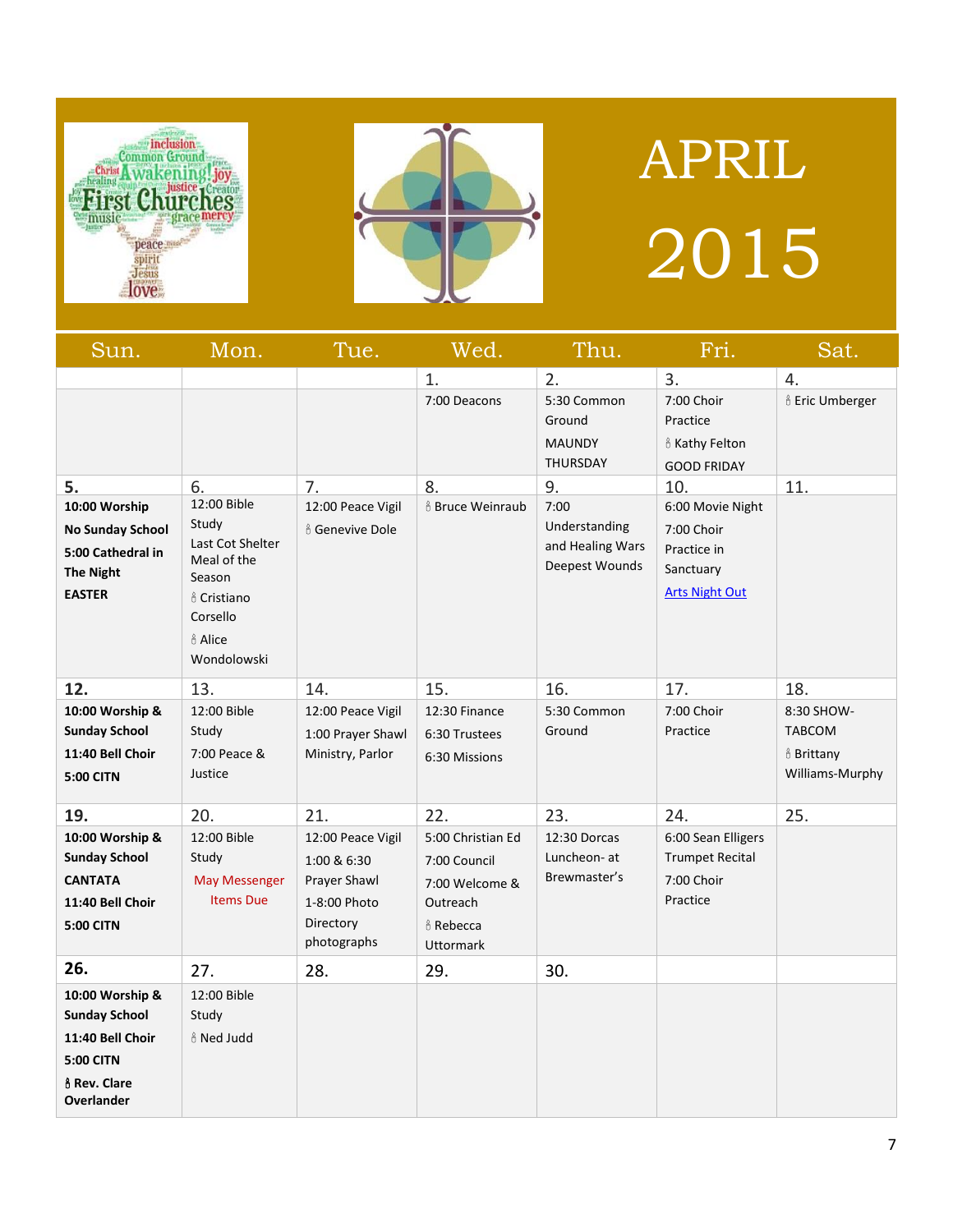



# APRIL 2015

| Sun.                                                                                                                  | Mon.                                                                                                                                         | Tue.                                                                                         | Wed.                                                                                                    | Thu.                                                        | Fri.                                                                                | Sat.                                                                    |
|-----------------------------------------------------------------------------------------------------------------------|----------------------------------------------------------------------------------------------------------------------------------------------|----------------------------------------------------------------------------------------------|---------------------------------------------------------------------------------------------------------|-------------------------------------------------------------|-------------------------------------------------------------------------------------|-------------------------------------------------------------------------|
|                                                                                                                       |                                                                                                                                              |                                                                                              | 1.                                                                                                      | 2.                                                          | 3.                                                                                  | 4.                                                                      |
|                                                                                                                       |                                                                                                                                              |                                                                                              | 7:00 Deacons                                                                                            | 5:30 Common<br>Ground<br><b>MAUNDY</b><br><b>THURSDAY</b>   | 7:00 Choir<br>Practice<br>& Kathy Felton<br><b>GOOD FRIDAY</b>                      | & Eric Umberger                                                         |
| 5.                                                                                                                    | 6.                                                                                                                                           | 7.                                                                                           | 8.                                                                                                      | 9.                                                          | 10.                                                                                 | 11.                                                                     |
| 10:00 Worship<br><b>No Sunday School</b><br>5:00 Cathedral in<br>The Night<br><b>EASTER</b>                           | 12:00 Bible<br>Study<br>Last Cot Shelter<br>Meal of the<br>Season<br><sub>ů</sub> Cristiano<br>Corsello<br><sub>ů</sub> Alice<br>Wondolowski | 12:00 Peace Vigil<br><sub>ů</sub> Genevive Dole                                              | <b>&amp; Bruce Weinraub</b>                                                                             | 7:00<br>Understanding<br>and Healing Wars<br>Deepest Wounds | 6:00 Movie Night<br>7:00 Choir<br>Practice in<br>Sanctuary<br><b>Arts Night Out</b> |                                                                         |
| 12.                                                                                                                   | 13.                                                                                                                                          | 14.                                                                                          | 15.                                                                                                     | 16.                                                         | 17.                                                                                 | 18.                                                                     |
| 10:00 Worship &<br><b>Sunday School</b><br>11:40 Bell Choir<br><b>5:00 CITN</b>                                       | 12:00 Bible<br>Study<br>7:00 Peace &<br>Justice                                                                                              | 12:00 Peace Vigil<br>1:00 Prayer Shawl<br>Ministry, Parlor                                   | 12:30 Finance<br>6:30 Trustees<br>6:30 Missions                                                         | 5:30 Common<br>Ground                                       | 7:00 Choir<br>Practice                                                              | 8:30 SHOW-<br><b>TABCOM</b><br><b>&amp; Brittany</b><br>Williams-Murphy |
| 19.                                                                                                                   | 20.                                                                                                                                          | 21.                                                                                          | 22.                                                                                                     | 23.                                                         | 24.                                                                                 | 25.                                                                     |
| 10:00 Worship &<br><b>Sunday School</b><br><b>CANTATA</b><br>11:40 Bell Choir<br><b>5:00 CITN</b>                     | 12:00 Bible<br>Study<br><b>May Messenger</b><br><b>Items Due</b>                                                                             | 12:00 Peace Vigil<br>1:00 & 6:30<br>Prayer Shawl<br>1-8:00 Photo<br>Directory<br>photographs | 5:00 Christian Ed<br>7:00 Council<br>7:00 Welcome &<br>Outreach<br><b>Å</b> Rebecca<br><b>Uttormark</b> | 12:30 Dorcas<br>Luncheon- at<br>Brewmaster's                | 6:00 Sean Elligers<br><b>Trumpet Recital</b><br>7:00 Choir<br>Practice              |                                                                         |
| 26.                                                                                                                   | 27.                                                                                                                                          | 28.                                                                                          | 29.                                                                                                     | 30.                                                         |                                                                                     |                                                                         |
| 10:00 Worship &<br><b>Sunday School</b><br>11:40 Bell Choir<br><b>5:00 CITN</b><br>of Rev. Clare<br><b>Overlander</b> | 12:00 Bible<br>Study<br><sub>ů</sub> Ned Judd                                                                                                |                                                                                              |                                                                                                         |                                                             |                                                                                     |                                                                         |